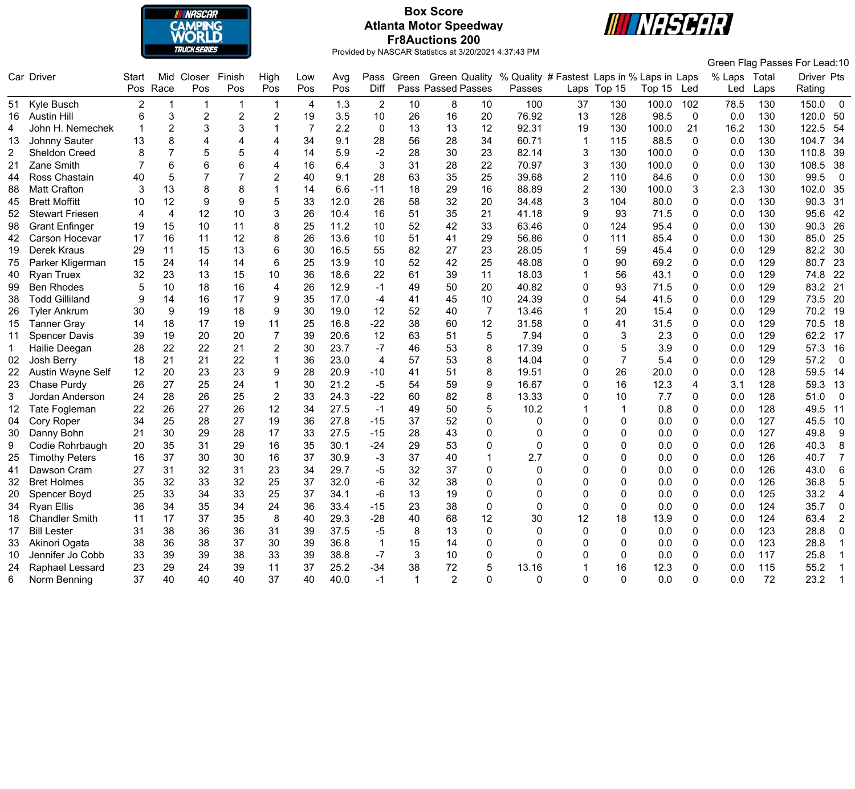

## **Box Score Atlanta Motor Speedway Fr8Auctions 200**



|    |                        |       |                |                |                |                |     |      |                  |              |                           |             |                                            |                |              |                   |             |              |      | Green Flag Passes For Lead:10 |
|----|------------------------|-------|----------------|----------------|----------------|----------------|-----|------|------------------|--------------|---------------------------|-------------|--------------------------------------------|----------------|--------------|-------------------|-------------|--------------|------|-------------------------------|
|    | Car Driver             | Start | Mid            | Closer         | Finish         | High           | Low | Avg  |                  | Pass Green   | Green Quality             |             | % Quality # Fastest Laps in % Laps in Laps |                |              |                   |             | % Laps Total |      | <b>Driver Pts</b>             |
|    |                        |       | Pos Race       | Pos            | Pos            | Pos            | Pos | Pos  | Diff             |              | <b>Pass Passed Passes</b> |             | Passes                                     |                | Laps Top 15  | Top <sub>15</sub> | Led         | Led          | Laps | Rating                        |
| 51 | Kyle Busch             | 2     | -1             | -1             |                |                | 4   | 1.3  | $\overline{2}$   | 10           | 8                         | 10          | 100                                        | 37             | 130          | 100.0             | 102         | 78.5         | 130  | 150.0<br>- 0                  |
| 16 | <b>Austin Hill</b>     | 6     | 3              | $\overline{2}$ | $\overline{2}$ | $\overline{2}$ | 19  | 3.5  | 10               | 26           | 16                        | 20          | 76.92                                      | 13             | 128          | 98.5              | $\mathbf 0$ | 0.0          | 130  | 120.0<br>50                   |
| 4  | John H. Nemechek       |       | $\overline{2}$ | 3              | 3              |                | 7   | 2.2  | $\boldsymbol{0}$ | 13           | 13                        | 12          | 92.31                                      | 19             | 130          | 100.0             | 21          | 16.2         | 130  | 122.5<br>54                   |
| 13 | Johnny Sauter          | 13    | 8              | 4              | 4              |                | 34  | 9.1  | 28               | 56           | 28                        | 34          | 60.71                                      | 1              | 115          | 88.5              | 0           | 0.0          | 130  | 104.7<br>34                   |
|    | <b>Sheldon Creed</b>   | 8     |                | 5              | 5              |                | 14  | 5.9  | $-2$             | 28           | 30                        | 23          | 82.14                                      | 3              | 130          | 100.0             | 0           | 0.0          | 130  | 110.8<br>39                   |
| 21 | Zane Smith             |       | 6              | 6              | 6              |                | 16  | 6.4  | 3                | 31           | 28                        | 22          | 70.97                                      | 3              | 130          | 100.0             | 0           | 0.0          | 130  | 108.5<br>38                   |
| 44 | Ross Chastain          | 40    | 5              |                |                | $\overline{2}$ | 40  | 9.1  | 28               | 63           | 35                        | 25          | 39.68                                      | $\overline{2}$ | 110          | 84.6              | 0           | 0.0          | 130  | 99.5<br>$\mathbf 0$           |
| 88 | <b>Matt Crafton</b>    | 3     | 13             | 8              | 8              |                | 14  | 6.6  | $-11$            | 18           | 29                        | 16          | 88.89                                      | $\overline{2}$ | 130          | 100.0             | 3           | 2.3          | 130  | 102.0<br>35                   |
| 45 | <b>Brett Moffitt</b>   | 10    | 12             | 9              | 9              |                | 33  | 12.0 | 26               | 58           | 32                        | 20          | 34.48                                      | 3              | 104          | 80.0              | $\Omega$    | 0.0          | 130  | 90.3<br>31                    |
| 52 | <b>Stewart Friesen</b> | Δ     | $\overline{4}$ | 12             | 10             | 3              | 26  | 10.4 | 16               | 51           | 35                        | 21          | 41.18                                      | 9              | 93           | 71.5              | ∩           | 0.0          | 130  | 95.6<br>42                    |
| 98 | <b>Grant Enfinger</b>  | 19    | 15             | 10             | 11             | 8              | 25  | 11.2 | 10               | 52           | 42                        | 33          | 63.46                                      | $\Omega$       | 124          | 95.4              | 0           | 0.0          | 130  | 90.3<br>26                    |
| 42 | Carson Hocevar         | 17    | 16             | 11             | 12             | 8              | 26  | 13.6 | 10               | 51           | 41                        | 29          | 56.86                                      | $\Omega$       | 111          | 85.4              | 0           | 0.0          | 130  | 85.0<br>25                    |
| 19 | Derek Kraus            | 29    | 11             | 15             | 13             | 6              | 30  | 16.5 | 55               | 82           | 27                        | 23          | 28.05                                      |                | 59           | 45.4              | 0           | 0.0          | 129  | 82.2<br>30                    |
| 75 | Parker Kligerman       | 15    | 24             | 14             | 14             | 6              | 25  | 13.9 | 10               | 52           | 42                        | 25          | 48.08                                      | 0              | 90           | 69.2              | 0           | 0.0          | 129  | 80.7<br>23                    |
| 40 | <b>Ryan Truex</b>      | 32    | 23             | 13             | 15             | 10             | 36  | 18.6 | 22               | 61           | 39                        | 11          | 18.03                                      |                | 56           | 43.1              | 0           | 0.0          | 129  | 74.8<br>22                    |
| 99 | <b>Ben Rhodes</b>      | 5     | 10             | 18             | 16             | 4              | 26  | 12.9 | -1               | 49           | 50                        | 20          | 40.82                                      | 0              | 93           | 71.5              | 0           | 0.0          | 129  | 83.2<br>21                    |
| 38 | <b>Todd Gilliland</b>  | 9     | 14             | 16             | 17             | 9              | 35  | 17.0 | $-4$             | 41           | 45                        | 10          | 24.39                                      | 0              | 54           | 41.5              | 0           | 0.0          | 129  | 73.5<br>20                    |
| 26 | <b>Tyler Ankrum</b>    | 30    | 9              | 19             | 18             | 9              | 30  | 19.0 | 12               | 52           | 40                        | 7           | 13.46                                      |                | 20           | 15.4              | 0           | 0.0          | 129  | 70.2<br>19                    |
| 15 | <b>Tanner Gray</b>     | 14    | 18             | 17             | 19             | 11             | 25  | 16.8 | $-22$            | 38           | 60                        | 12          | 31.58                                      | 0              | 41           | 31.5              | 0           | 0.0          | 129  | 70.5<br>18                    |
| 11 | <b>Spencer Davis</b>   | 39    | 19             | 20             | 20             | 7              | 39  | 20.6 | 12               | 63           | 51                        | 5           | 7.94                                       | 0              | 3            | 2.3               | 0           | 0.0          | 129  | 62.2<br>17                    |
| 1  | Hailie Deegan          | 28    | 22             | 22             | 21             | $\overline{2}$ | 30  | 23.7 | -7               | 46           | 53                        | 8           | 17.39                                      | 0              | 5            | 3.9               | 0           | 0.0          | 129  | 57.3<br>16                    |
| 02 | Josh Berry             | 18    | 21             | 21             | 22             |                | 36  | 23.0 | $\overline{4}$   | 57           | 53                        | 8           | 14.04                                      | 0              | 7            | 5.4               | 0           | 0.0          | 129  | 57.2<br>$\overline{0}$        |
| 22 | Austin Wayne Self      | 12    | 20             | 23             | 23             | 9              | 28  | 20.9 | $-10$            | 41           | 51                        | 8           | 19.51                                      | $\mathbf 0$    | 26           | 20.0              | 0           | 0.0          | 128  | 59.5<br>14                    |
| 23 | Chase Purdy            | 26    | 27             | 25             | 24             |                | 30  | 21.2 | $-5$             | 54           | 59                        | 9           | 16.67                                      | 0              | 16           | 12.3              | 4           | 3.1          | 128  | 59.3<br>13                    |
| 3  | Jordan Anderson        | 24    | 28             | 26             | 25             | $\overline{2}$ | 33  | 24.3 | $-22$            | 60           | 82                        | 8           | 13.33                                      | 0              | 10           | 7.7               | 0           | 0.0          | 128  | $\overline{0}$<br>51.0        |
| 12 | Tate Fogleman          | 22    | 26             | 27             | 26             | 12             | 34  | 27.5 | $-1$             | 49           | 50                        | 5           | 10.2                                       |                |              | 0.8               | 0           | 0.0          | 128  | 11<br>49.5                    |
| 04 | <b>Cory Roper</b>      | 34    | 25             | 28             | 27             | 19             | 36  | 27.8 | $-15$            | 37           | 52                        | 0           | 0                                          | 0              | 0            | 0.0               | 0           | 0.0          | 127  | 45.5<br>10                    |
| 30 | Danny Bohn             | 21    | 30             | 29             | 28             | 17             | 33  | 27.5 | $-15$            | 28           | 43                        | 0           | 0                                          | 0              | 0            | 0.0               | 0           | 0.0          | 127  | 49.8<br>9                     |
| 9  | Codie Rohrbaugh        | 20    | 35             | 31             | 29             | 16             | 35  | 30.1 | $-24$            | 29           | 53                        | 0           | 0                                          | 0              | 0            | 0.0               | 0           | 0.0          | 126  | 40.3<br>8                     |
| 25 | <b>Timothy Peters</b>  | 16    | 37             | 30             | 30             | 16             | 37  | 30.9 | -3               | 37           | 40                        |             | 2.7                                        | 0              | 0            | 0.0               | 0           | 0.0          | 126  | $\overline{7}$<br>40.7        |
| 41 | Dawson Cram            | 27    | 31             | 32             | 31             | 23             | 34  | 29.7 | -5               | 32           | 37                        | 0           | 0                                          | 0              | 0            | 0.0               | 0           | 0.0          | 126  | 43.0<br>6                     |
| 32 | <b>Bret Holmes</b>     | 35    | 32             | 33             | 32             | 25             | 37  | 32.0 | -6               | 32           | 38                        | 0           | 0                                          | 0              | 0            | 0.0               | 0           | 0.0          | 126  | 5<br>36.8                     |
| 20 | Spencer Boyd           | 25    | 33             | 34             | 33             | 25             | 37  | 34.1 | -6               | 13           | 19                        | 0           | 0                                          | ∩              | 0            | 0.0               | ∩           | 0.0          | 125  | 33.2<br>4                     |
| 34 | Ryan Ellis             | 36    | 34             | 35             | 34             | 24             | 36  | 33.4 | -15              | 23           | 38                        | 0           | 0                                          | 0              | 0            | 0.0               | 0           | 0.0          | 124  | $\pmb{0}$<br>35.7             |
|    | <b>Chandler Smith</b>  | 11    | 17             | 37             | 35             | 8              | 40  | 29.3 | $-28$            | 40           | 68                        | 12          | 30                                         | 12             | 18           | 13.9              | $\Omega$    | 0.0          | 124  | 63.4<br>$\overline{2}$        |
| 17 | <b>Bill Lester</b>     | 31    | 38             | 36             | 36             | 31             | 39  | 37.5 | $-5$             | 8            | 13                        | $\mathbf 0$ | 0                                          | $\Omega$       | $\mathbf 0$  | 0.0               | 0           | 0.0          | 123  | 28.8<br>0                     |
| 33 | Akinori Ogata          | 38    | 36             | 38             | 37             | 30             | 39  | 36.8 | $\mathbf 1$      | 15           | 14                        | $\Omega$    | 0                                          | $\Omega$       | 0            | 0.0               | 0           | 0.0          | 123  | 28.8                          |
| 10 | Jennifer Jo Cobb       | 33    | 39             | 39             | 38             | 33             | 39  | 38.8 | -7               | 3            | 10                        | 0           | 0                                          | $\Omega$       | $\mathbf{0}$ | 0.0               | 0           | 0.0          | 117  | 25.8                          |
| 24 | Raphael Lessard        | 23    | 29             | 24             | 39             | 11             | 37  | 25.2 | $-34$            | 38           | 72                        | 5           | 13.16                                      |                | 16           | 12.3              | 0           | 0.0          | 115  | 55.2<br>$\mathbf 1$           |
| 6  | Norm Benning           | 37    | 40             | 40             | 40             | 37             | 40  | 40.0 | $-1$             | $\mathbf{1}$ | 2                         | 0           | 0                                          | 0              | $\mathbf 0$  | 0.0               | 0           | 0.0          | 72   | 23.2<br>$\mathbf{1}$          |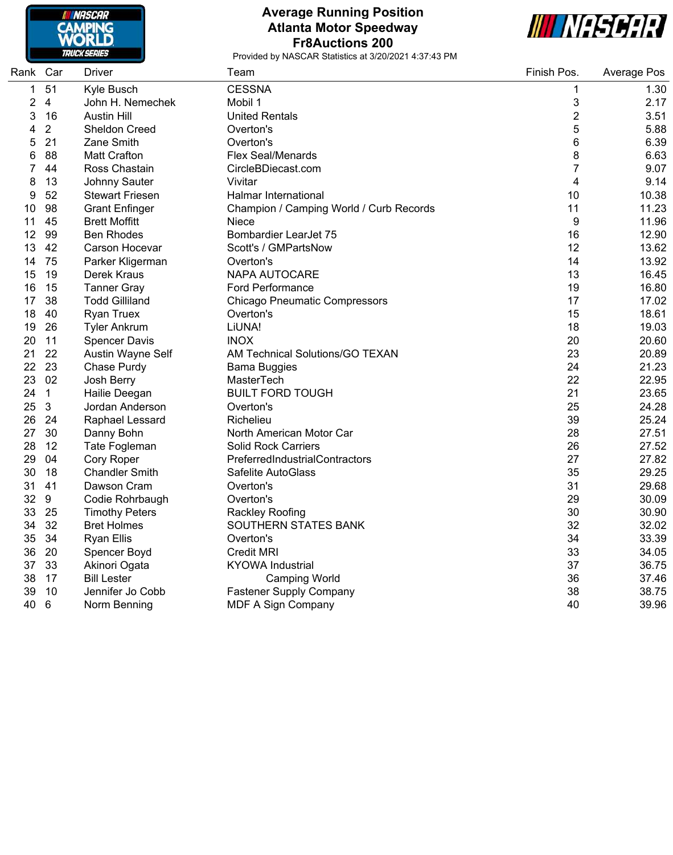

#### **Average Running Position Atlanta Motor Speedway Fr8Auctions 200**



| Rank Car |                | Driver                 | Team                                    | Finish Pos.    | <b>Average Pos</b> |
|----------|----------------|------------------------|-----------------------------------------|----------------|--------------------|
| 1        | 51             | Kyle Busch             | <b>CESSNA</b>                           | 1              | 1.30               |
| 2        | $\overline{4}$ | John H. Nemechek       | Mobil 1                                 | 3              | 2.17               |
| 3        | 16             | <b>Austin Hill</b>     | <b>United Rentals</b>                   | $\overline{2}$ | 3.51               |
| 4        | $\overline{2}$ | <b>Sheldon Creed</b>   | Overton's                               | 5              | 5.88               |
| 5        | 21             | Zane Smith             | Overton's                               | 6              | 6.39               |
| 6        | 88             | <b>Matt Crafton</b>    | <b>Flex Seal/Menards</b>                | 8              | 6.63               |
| 7        | 44             | Ross Chastain          | CircleBDiecast.com                      | $\overline{7}$ | 9.07               |
| 8        | 13             | Johnny Sauter          | Vivitar                                 | 4              | 9.14               |
| 9        | 52             | <b>Stewart Friesen</b> | Halmar International                    | 10             | 10.38              |
| 10       | 98             | <b>Grant Enfinger</b>  | Champion / Camping World / Curb Records | 11             | 11.23              |
| 11       | 45             | <b>Brett Moffitt</b>   | Niece                                   | 9              | 11.96              |
| 12       | 99             | <b>Ben Rhodes</b>      | <b>Bombardier LearJet 75</b>            | 16             | 12.90              |
| 13       | 42             | Carson Hocevar         | Scott's / GMPartsNow                    | 12             | 13.62              |
| 14       | 75             | Parker Kligerman       | Overton's                               | 14             | 13.92              |
| 15       | 19             | Derek Kraus            | <b>NAPA AUTOCARE</b>                    | 13             | 16.45              |
| 16       | 15             | <b>Tanner Gray</b>     | <b>Ford Performance</b>                 | 19             | 16.80              |
| 17       | 38             | <b>Todd Gilliland</b>  | <b>Chicago Pneumatic Compressors</b>    | 17             | 17.02              |
| 18       | 40             | <b>Ryan Truex</b>      | Overton's                               | 15             | 18.61              |
| 19       | 26             | <b>Tyler Ankrum</b>    | LiUNA!                                  | 18             | 19.03              |
| 20       | 11             | <b>Spencer Davis</b>   | <b>INOX</b>                             | 20             | 20.60              |
| 21       | 22             | Austin Wayne Self      | AM Technical Solutions/GO TEXAN         | 23             | 20.89              |
| 22       | 23             | Chase Purdy            | <b>Bama Buggies</b>                     | 24             | 21.23              |
| 23       | 02             | Josh Berry             | MasterTech                              | 22             | 22.95              |
| 24       | $\mathbf{1}$   | Hailie Deegan          | <b>BUILT FORD TOUGH</b>                 | 21             | 23.65              |
| 25       | 3              | Jordan Anderson        | Overton's                               | 25             | 24.28              |
| 26       | 24             | Raphael Lessard        | Richelieu                               | 39             | 25.24              |
| 27       | 30             | Danny Bohn             | North American Motor Car                | 28             | 27.51              |
| 28       | 12             | Tate Fogleman          | <b>Solid Rock Carriers</b>              | 26             | 27.52              |
| 29       | 04             | Cory Roper             | PreferredIndustrialContractors          | 27             | 27.82              |
| 30       | 18             | <b>Chandler Smith</b>  | Safelite AutoGlass                      | 35             | 29.25              |
| 31       | 41             | Dawson Cram            | Overton's                               | 31             | 29.68              |
| 32       | 9              | Codie Rohrbaugh        | Overton's                               | 29             | 30.09              |
| 33       | 25             | <b>Timothy Peters</b>  | Rackley Roofing                         | 30             | 30.90              |
| 34       | 32             | <b>Bret Holmes</b>     | SOUTHERN STATES BANK                    | 32             | 32.02              |
| 35       | 34             | <b>Ryan Ellis</b>      | Overton's                               | 34             | 33.39              |
| 36       | 20             | Spencer Boyd           | <b>Credit MRI</b>                       | 33             | 34.05              |
| 37       | 33             | Akinori Ogata          | <b>KYOWA Industrial</b>                 | 37             | 36.75              |
| 38       | 17             | <b>Bill Lester</b>     | <b>Camping World</b>                    | 36             | 37.46              |
| 39       | 10             | Jennifer Jo Cobb       | <b>Fastener Supply Company</b>          | 38             | 38.75              |
| 40       | 6              | Norm Benning           | <b>MDF A Sign Company</b>               | 40             | 39.96              |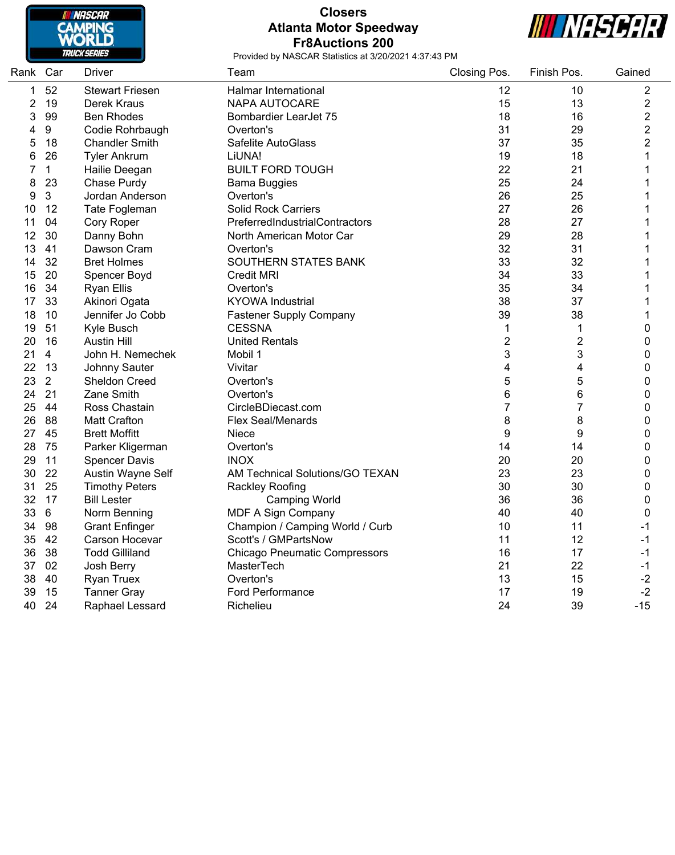

## **Closers Atlanta Motor Speedway Fr8Auctions 200**



| Rank | Car              | Driver                 | Team                                 | Closing Pos.   | Finish Pos.    | Gained         |
|------|------------------|------------------------|--------------------------------------|----------------|----------------|----------------|
| 1    | 52               | <b>Stewart Friesen</b> | <b>Halmar International</b>          | 12             | 10             | $\overline{2}$ |
| 2    | 19               | Derek Kraus            | <b>NAPA AUTOCARE</b>                 | 15             | 13             | 2              |
| 3    | 99               | <b>Ben Rhodes</b>      | <b>Bombardier LearJet 75</b>         | 18             | 16             | $\overline{2}$ |
| 4    | $\boldsymbol{9}$ | Codie Rohrbaugh        | Overton's                            | 31             | 29             | $\overline{2}$ |
| 5    | 18               | <b>Chandler Smith</b>  | Safelite AutoGlass                   | 37             | 35             | $\overline{2}$ |
| 6    | 26               | <b>Tyler Ankrum</b>    | LiUNA!                               | 19             | 18             | 1              |
| 7    | $\mathbf{1}$     | Hailie Deegan          | <b>BUILT FORD TOUGH</b>              | 22             | 21             | 1              |
| 8    | 23               | Chase Purdy            | <b>Bama Buggies</b>                  | 25             | 24             | 1              |
| 9    | 3                | Jordan Anderson        | Overton's                            | 26             | 25             | 1              |
| 10   | 12               | Tate Fogleman          | <b>Solid Rock Carriers</b>           | 27             | 26             | 1              |
| 11   | 04               | Cory Roper             | PreferredIndustrialContractors       | 28             | 27             | 1              |
| 12   | 30               | Danny Bohn             | North American Motor Car             | 29             | 28             | 1              |
| 13   | 41               | Dawson Cram            | Overton's                            | 32             | 31             | 1              |
| 14   | 32               | <b>Bret Holmes</b>     | SOUTHERN STATES BANK                 | 33             | 32             | 1              |
| 15   | 20               | Spencer Boyd           | <b>Credit MRI</b>                    | 34             | 33             | 1              |
| 16   | 34               | <b>Ryan Ellis</b>      | Overton's                            | 35             | 34             | 1              |
| 17   | 33               | Akinori Ogata          | <b>KYOWA Industrial</b>              | 38             | 37             | 1              |
| 18   | 10               | Jennifer Jo Cobb       | <b>Fastener Supply Company</b>       | 39             | 38             | 1              |
| 19   | 51               | Kyle Busch             | <b>CESSNA</b>                        | 1              | 1              | 0              |
| 20   | 16               | <b>Austin Hill</b>     | <b>United Rentals</b>                | $\overline{2}$ | $\overline{c}$ | $\pmb{0}$      |
| 21   | 4                | John H. Nemechek       | Mobil 1                              | 3              | 3              | $\pmb{0}$      |
| 22   | 13               | Johnny Sauter          | Vivitar                              | 4              | 4              | 0              |
| 23   | $\overline{2}$   | Sheldon Creed          | Overton's                            | 5              | 5              | 0              |
| 24   | 21               | Zane Smith             | Overton's                            | 6              | 6              | 0              |
| 25   | 44               | Ross Chastain          | CircleBDiecast.com                   | $\overline{7}$ | $\overline{7}$ | 0              |
| 26   | 88               | <b>Matt Crafton</b>    | <b>Flex Seal/Menards</b>             | 8              | 8              | $\pmb{0}$      |
| 27   | 45               | <b>Brett Moffitt</b>   | Niece                                | 9              | 9              | $\pmb{0}$      |
| 28   | 75               | Parker Kligerman       | Overton's                            | 14             | 14             | 0              |
| 29   | 11               | <b>Spencer Davis</b>   | <b>INOX</b>                          | 20             | 20             | 0              |
| 30   | 22               | Austin Wayne Self      | AM Technical Solutions/GO TEXAN      | 23             | 23             | 0              |
| 31   | 25               | <b>Timothy Peters</b>  | Rackley Roofing                      | 30             | 30             | $\pmb{0}$      |
| 32   | 17               | <b>Bill Lester</b>     | <b>Camping World</b>                 | 36             | 36             | 0              |
| 33   | 6                | Norm Benning           | <b>MDF A Sign Company</b>            | 40             | 40             | 0              |
| 34   | 98               | <b>Grant Enfinger</b>  | Champion / Camping World / Curb      | 10             | 11             | -1             |
| 35   | 42               | Carson Hocevar         | Scott's / GMPartsNow                 | 11             | 12             | $-1$           |
| 36   | 38               | <b>Todd Gilliland</b>  | <b>Chicago Pneumatic Compressors</b> | 16             | 17             | $-1$           |
| 37   | 02               | Josh Berry             | MasterTech                           | 21             | 22             | -1             |
| 38   | 40               | Ryan Truex             | Overton's                            | 13             | 15             | $-2$           |
| 39   | 15               | <b>Tanner Gray</b>     | Ford Performance                     | 17             | 19             | $-2$           |
| 40   | 24               | Raphael Lessard        | Richelieu                            | 24             | 39             | $-15$          |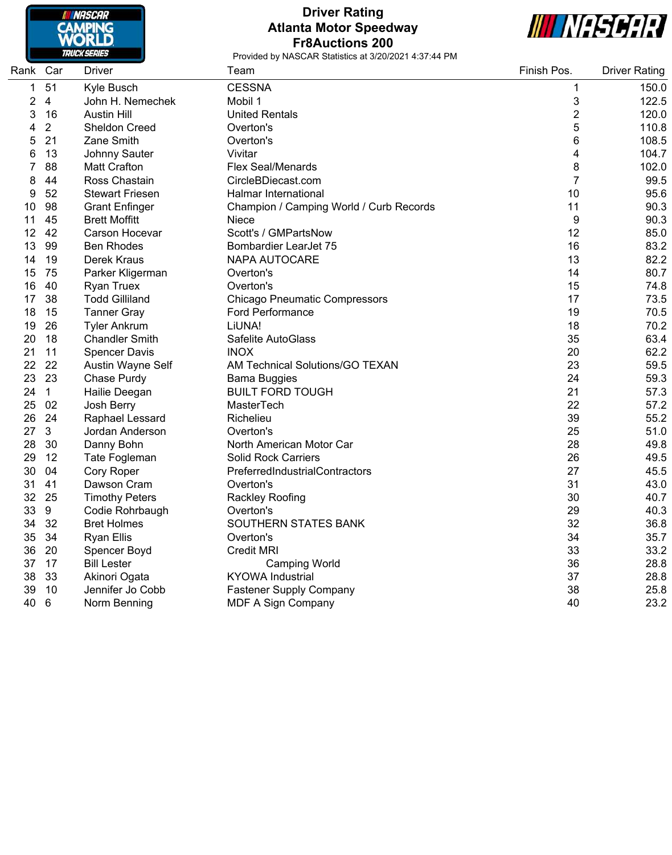

# **Driver Rating Atlanta Motor Speedway Fr8Auctions 200**



| Rank | Car            | Driver                   | Team                                    | Finish Pos.    | <b>Driver Rating</b> |
|------|----------------|--------------------------|-----------------------------------------|----------------|----------------------|
| 1    | 51             | Kyle Busch               | <b>CESSNA</b>                           | 1              | 150.0                |
| 2    | $\overline{4}$ | John H. Nemechek         | Mobil 1                                 | 3              | 122.5                |
| 3    | 16             | <b>Austin Hill</b>       | <b>United Rentals</b>                   | 2              | 120.0                |
| 4    | $\overline{2}$ | Sheldon Creed            | Overton's                               | 5              | 110.8                |
| 5    | 21             | Zane Smith               | Overton's                               | 6              | 108.5                |
| 6    | 13             | Johnny Sauter            | Vivitar                                 | 4              | 104.7                |
| 7    | 88             | <b>Matt Crafton</b>      | <b>Flex Seal/Menards</b>                | 8              | 102.0                |
| 8    | 44             | Ross Chastain            | CircleBDiecast.com                      | $\overline{7}$ | 99.5                 |
| 9    | 52             | <b>Stewart Friesen</b>   | Halmar International                    | 10             | 95.6                 |
| 10   | 98             | <b>Grant Enfinger</b>    | Champion / Camping World / Curb Records | 11             | 90.3                 |
| 11   | 45             | <b>Brett Moffitt</b>     | Niece                                   | 9              | 90.3                 |
| 12   | 42             | Carson Hocevar           | Scott's / GMPartsNow                    | 12             | 85.0                 |
| 13   | 99             | <b>Ben Rhodes</b>        | Bombardier LearJet 75                   | 16             | 83.2                 |
| 14   | 19             | Derek Kraus              | <b>NAPA AUTOCARE</b>                    | 13             | 82.2                 |
| 15   | 75             | Parker Kligerman         | Overton's                               | 14             | 80.7                 |
| 16   | 40             | <b>Ryan Truex</b>        | Overton's                               | 15             | 74.8                 |
| 17   | 38             | <b>Todd Gilliland</b>    | <b>Chicago Pneumatic Compressors</b>    | 17             | 73.5                 |
| 18   | 15             | <b>Tanner Gray</b>       | <b>Ford Performance</b>                 | 19             | 70.5                 |
| 19   | 26             | <b>Tyler Ankrum</b>      | LiUNA!                                  | 18             | 70.2                 |
| 20   | 18             | <b>Chandler Smith</b>    | Safelite AutoGlass                      | 35             | 63.4                 |
| 21   | 11             | <b>Spencer Davis</b>     | <b>INOX</b>                             | 20             | 62.2                 |
| 22   | 22             | <b>Austin Wayne Self</b> | AM Technical Solutions/GO TEXAN         | 23             | 59.5                 |
| 23   | 23             | Chase Purdy              | <b>Bama Buggies</b>                     | 24             | 59.3                 |
| 24   | $\mathbf{1}$   | Hailie Deegan            | <b>BUILT FORD TOUGH</b>                 | 21             | 57.3                 |
| 25   | 02             | Josh Berry               | MasterTech                              | 22             | 57.2                 |
| 26   | 24             | Raphael Lessard          | Richelieu                               | 39             | 55.2                 |
| 27   | 3              | Jordan Anderson          | Overton's                               | 25             | 51.0                 |
| 28   | 30             | Danny Bohn               | North American Motor Car                | 28             | 49.8                 |
| 29   | 12             | Tate Fogleman            | <b>Solid Rock Carriers</b>              | 26             | 49.5                 |
| 30   | 04             | Cory Roper               | PreferredIndustrialContractors          | 27             | 45.5                 |
| 31   | 41             | Dawson Cram              | Overton's                               | 31             | 43.0                 |
| 32   | 25             | <b>Timothy Peters</b>    | Rackley Roofing                         | 30             | 40.7                 |
| 33   | 9              | Codie Rohrbaugh          | Overton's                               | 29             | 40.3                 |
| 34   | 32             | <b>Bret Holmes</b>       | SOUTHERN STATES BANK                    | 32             | 36.8                 |
| 35   | 34             | <b>Ryan Ellis</b>        | Overton's                               | 34             | 35.7                 |
| 36   | 20             | Spencer Boyd             | <b>Credit MRI</b>                       | 33             | 33.2                 |
| 37   | 17             | <b>Bill Lester</b>       | <b>Camping World</b>                    | 36             | 28.8                 |
| 38   | 33             | Akinori Ogata            | <b>KYOWA Industrial</b>                 | 37             | 28.8                 |
| 39   | 10             | Jennifer Jo Cobb         | <b>Fastener Supply Company</b>          | 38             | 25.8                 |
| 40   | 6              | Norm Benning             | <b>MDF A Sign Company</b>               | 40             | 23.2                 |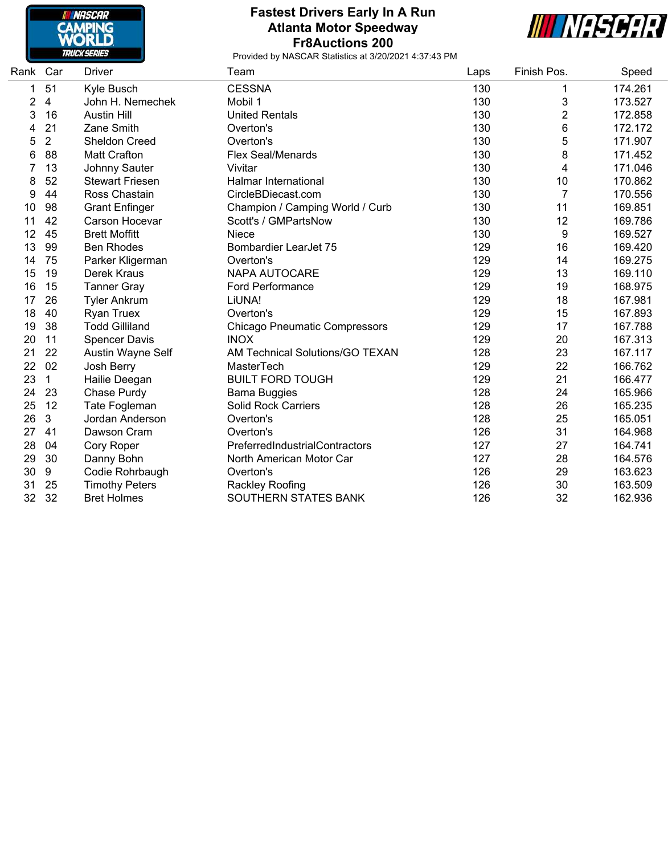

#### **Fastest Drivers Early In A Run Atlanta Motor Speedway Fr8Auctions 200**



| Rank Car       |                | Driver                 | Team                                 | Laps | Finish Pos.    | Speed   |
|----------------|----------------|------------------------|--------------------------------------|------|----------------|---------|
| 1              | 51             | Kyle Busch             | <b>CESSNA</b>                        | 130  | 1              | 174.261 |
| $\overline{2}$ | 4              | John H. Nemechek       | Mobil 1                              | 130  | 3              | 173.527 |
| 3              | 16             | <b>Austin Hill</b>     | <b>United Rentals</b>                | 130  | 2              | 172.858 |
|                | 21             | Zane Smith             | Overton's                            | 130  | 6              | 172.172 |
| 5              | $\overline{2}$ | <b>Sheldon Creed</b>   | Overton's                            | 130  | 5              | 171.907 |
| 6              | 88             | <b>Matt Crafton</b>    | <b>Flex Seal/Menards</b>             | 130  | 8              | 171.452 |
| 7              | 13             | Johnny Sauter          | Vivitar                              | 130  | 4              | 171.046 |
| 8              | 52             | <b>Stewart Friesen</b> | Halmar International                 | 130  | 10             | 170.862 |
| 9              | 44             | Ross Chastain          | CircleBDiecast.com                   | 130  | $\overline{7}$ | 170.556 |
| 10             | 98             | <b>Grant Enfinger</b>  | Champion / Camping World / Curb      | 130  | 11             | 169.851 |
| 11             | 42             | Carson Hocevar         | Scott's / GMPartsNow                 | 130  | 12             | 169.786 |
| 12             | 45             | <b>Brett Moffitt</b>   | Niece                                | 130  | 9              | 169.527 |
| 13             | 99             | <b>Ben Rhodes</b>      | <b>Bombardier LearJet 75</b>         | 129  | 16             | 169.420 |
| 14             | 75             | Parker Kligerman       | Overton's                            | 129  | 14             | 169.275 |
| 15             | 19             | Derek Kraus            | <b>NAPA AUTOCARE</b>                 | 129  | 13             | 169.110 |
| 16             | 15             | <b>Tanner Gray</b>     | <b>Ford Performance</b>              | 129  | 19             | 168.975 |
| 17             | 26             | <b>Tyler Ankrum</b>    | LiUNA!                               | 129  | 18             | 167.981 |
| 18             | 40             | <b>Ryan Truex</b>      | Overton's                            | 129  | 15             | 167.893 |
| 19             | 38             | <b>Todd Gilliland</b>  | <b>Chicago Pneumatic Compressors</b> | 129  | 17             | 167.788 |
| 20             | 11             | <b>Spencer Davis</b>   | <b>INOX</b>                          | 129  | 20             | 167.313 |
| 21             | 22             | Austin Wayne Self      | AM Technical Solutions/GO TEXAN      | 128  | 23             | 167.117 |
| 22             | 02             | Josh Berry             | <b>MasterTech</b>                    | 129  | 22             | 166.762 |
| 23             | 1              | Hailie Deegan          | <b>BUILT FORD TOUGH</b>              | 129  | 21             | 166.477 |
| 24             | 23             | Chase Purdy            | <b>Bama Buggies</b>                  | 128  | 24             | 165.966 |
| 25             | 12             | Tate Fogleman          | <b>Solid Rock Carriers</b>           | 128  | 26             | 165.235 |
| 26             | 3              | Jordan Anderson        | Overton's                            | 128  | 25             | 165.051 |
| 27             | 41             | Dawson Cram            | Overton's                            | 126  | 31             | 164.968 |
| 28             | 04             | Cory Roper             | PreferredIndustrialContractors       | 127  | 27             | 164.741 |
| 29             | 30             | Danny Bohn             | North American Motor Car             | 127  | 28             | 164.576 |
| 30             | 9              | Codie Rohrbaugh        | Overton's                            | 126  | 29             | 163.623 |
| 31             | 25             | <b>Timothy Peters</b>  | Rackley Roofing                      | 126  | 30             | 163.509 |
| 32             | 32             | <b>Bret Holmes</b>     | <b>SOUTHERN STATES BANK</b>          | 126  | 32             | 162.936 |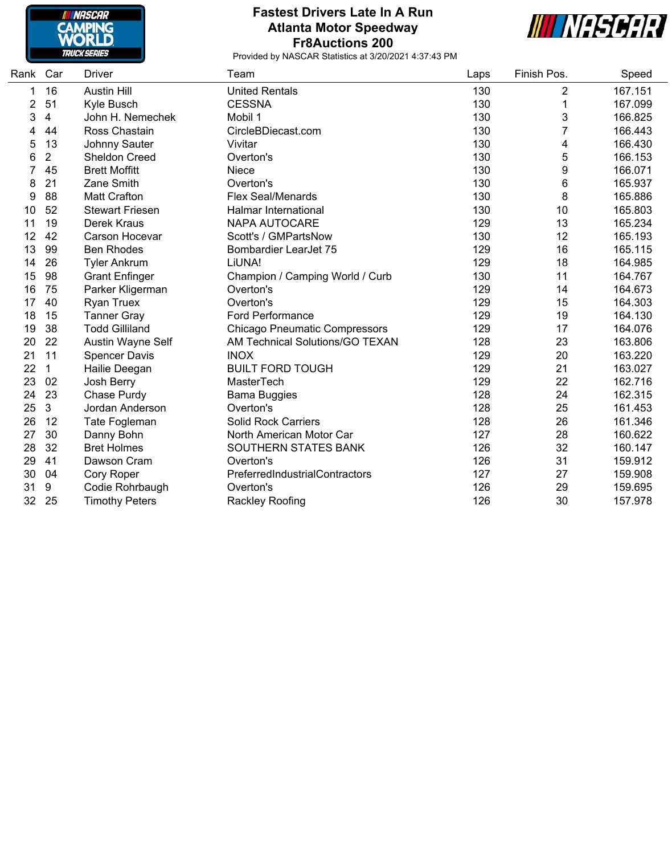

#### **Fastest Drivers Late In A Run Atlanta Motor Speedway Fr8Auctions 200**



| Rank Car |                | <b>Driver</b>          | Team                                   | Laps | Finish Pos.    | Speed   |
|----------|----------------|------------------------|----------------------------------------|------|----------------|---------|
| 1        | 16             | <b>Austin Hill</b>     | <b>United Rentals</b>                  | 130  | 2              | 167.151 |
| 2        | 51             | Kyle Busch             | <b>CESSNA</b>                          | 130  | 1              | 167.099 |
| 3        | $\overline{4}$ | John H. Nemechek       | Mobil 1                                | 130  | 3              | 166.825 |
| 4        | 44             | Ross Chastain          | CircleBDiecast.com                     | 130  | $\overline{7}$ | 166.443 |
| 5        | 13             | Johnny Sauter          | Vivitar                                | 130  | 4              | 166.430 |
| 6        | $\overline{2}$ | Sheldon Creed          | Overton's                              | 130  | 5              | 166.153 |
| 7        | 45             | <b>Brett Moffitt</b>   | Niece                                  | 130  | 9              | 166.071 |
| 8        | 21             | <b>Zane Smith</b>      | Overton's                              | 130  | 6              | 165.937 |
| 9        | 88             | <b>Matt Crafton</b>    | <b>Flex Seal/Menards</b>               | 130  | 8              | 165.886 |
| 10       | 52             | <b>Stewart Friesen</b> | <b>Halmar International</b>            | 130  | 10             | 165.803 |
| 11       | 19             | Derek Kraus            | <b>NAPA AUTOCARE</b>                   | 129  | 13             | 165.234 |
| 12       | 42             | Carson Hocevar         | Scott's / GMPartsNow                   | 130  | 12             | 165.193 |
| 13       | 99             | <b>Ben Rhodes</b>      | Bombardier LearJet 75                  | 129  | 16             | 165.115 |
| 14       | 26             | <b>Tyler Ankrum</b>    | LiUNA!                                 | 129  | 18             | 164.985 |
| 15       | 98             | <b>Grant Enfinger</b>  | Champion / Camping World / Curb        | 130  | 11             | 164.767 |
| 16       | 75             | Parker Kligerman       | Overton's                              | 129  | 14             | 164.673 |
| 17       | 40             | <b>Ryan Truex</b>      | Overton's                              | 129  | 15             | 164.303 |
| 18       | 15             | <b>Tanner Gray</b>     | <b>Ford Performance</b>                | 129  | 19             | 164.130 |
| 19       | 38             | <b>Todd Gilliland</b>  | <b>Chicago Pneumatic Compressors</b>   | 129  | 17             | 164.076 |
| 20       | 22             | Austin Wayne Self      | <b>AM Technical Solutions/GO TEXAN</b> | 128  | 23             | 163.806 |
| 21       | 11             | <b>Spencer Davis</b>   | <b>INOX</b>                            | 129  | 20             | 163.220 |
| 22       | $\mathbf 1$    | Hailie Deegan          | <b>BUILT FORD TOUGH</b>                | 129  | 21             | 163.027 |
| 23       | 02             | Josh Berry             | MasterTech                             | 129  | 22             | 162.716 |
| 24       | 23             | Chase Purdy            | <b>Bama Buggies</b>                    | 128  | 24             | 162.315 |
| 25       | 3              | Jordan Anderson        | Overton's                              | 128  | 25             | 161.453 |
| 26       | 12             | Tate Fogleman          | <b>Solid Rock Carriers</b>             | 128  | 26             | 161.346 |
| 27       | 30             | Danny Bohn             | North American Motor Car               | 127  | 28             | 160.622 |
| 28       | 32             | <b>Bret Holmes</b>     | SOUTHERN STATES BANK                   | 126  | 32             | 160.147 |
| 29       | 41             | Dawson Cram            | Overton's                              | 126  | 31             | 159.912 |
| 30       | 04             | Cory Roper             | PreferredIndustrialContractors         | 127  | 27             | 159.908 |
| 31       | 9              | Codie Rohrbaugh        | Overton's                              | 126  | 29             | 159.695 |
| 32       | 25             | <b>Timothy Peters</b>  | Rackley Roofing                        | 126  | 30             | 157.978 |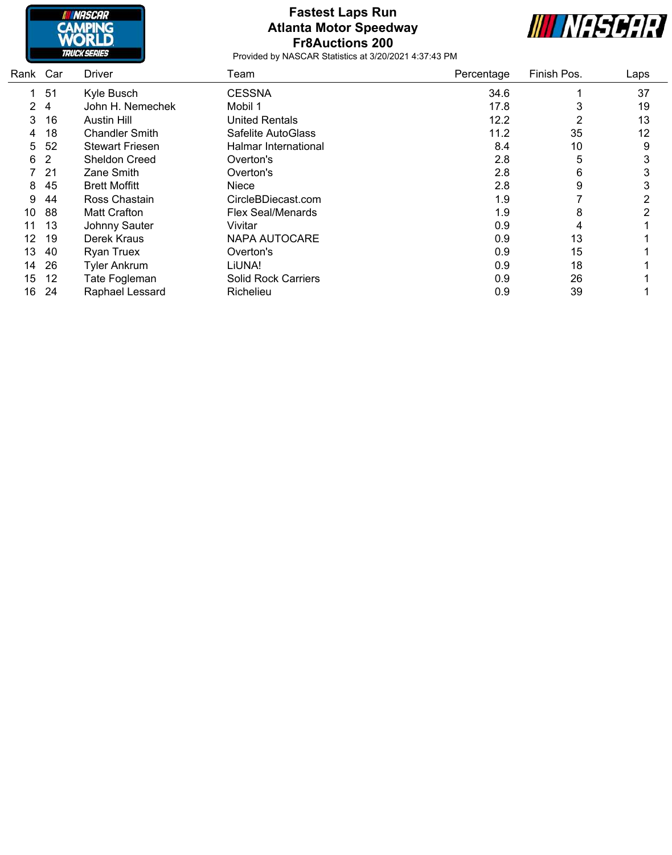

## **Fastest Laps Run Atlanta Motor Speedway Fr8Auctions 200**



|    | <b>Driver</b>          | Team                       | Percentage | Finish Pos. | Laps |
|----|------------------------|----------------------------|------------|-------------|------|
| 51 | Kyle Busch             | <b>CESSNA</b>              | 34.6       |             | 37   |
| 4  | John H. Nemechek       | Mobil 1                    | 17.8       | 3           | 19   |
| 16 | Austin Hill            | <b>United Rentals</b>      | 12.2       | 2           | 13   |
| 18 | <b>Chandler Smith</b>  | Safelite AutoGlass         | 11.2       | 35          | 12   |
| 52 | <b>Stewart Friesen</b> | Halmar International       | 8.4        | 10          | 9    |
| 2  | Sheldon Creed          | Overton's                  | 2.8        | 5           | 3    |
| 21 | Zane Smith             | Overton's                  | 2.8        | 6           | 3    |
| 45 | <b>Brett Moffitt</b>   | Niece                      | 2.8        | 9           | 3    |
| 44 | Ross Chastain          | CircleBDiecast.com         | 1.9        |             | 2    |
| 88 | Matt Crafton           | Flex Seal/Menards          | 1.9        | 8           |      |
| 13 | Johnny Sauter          | Vivitar                    | 0.9        | 4           |      |
| 19 | Derek Kraus            | <b>NAPA AUTOCARE</b>       | 0.9        | 13          |      |
| 40 | <b>Ryan Truex</b>      | Overton's                  | 0.9        | 15          |      |
| 26 | <b>Tyler Ankrum</b>    | LiUNA!                     | 0.9        | 18          |      |
| 12 | Tate Fogleman          | <b>Solid Rock Carriers</b> | 0.9        | 26          |      |
| 24 | Raphael Lessard        | Richelieu                  | 0.9        | 39          |      |
|    | Rank Car               |                            |            |             |      |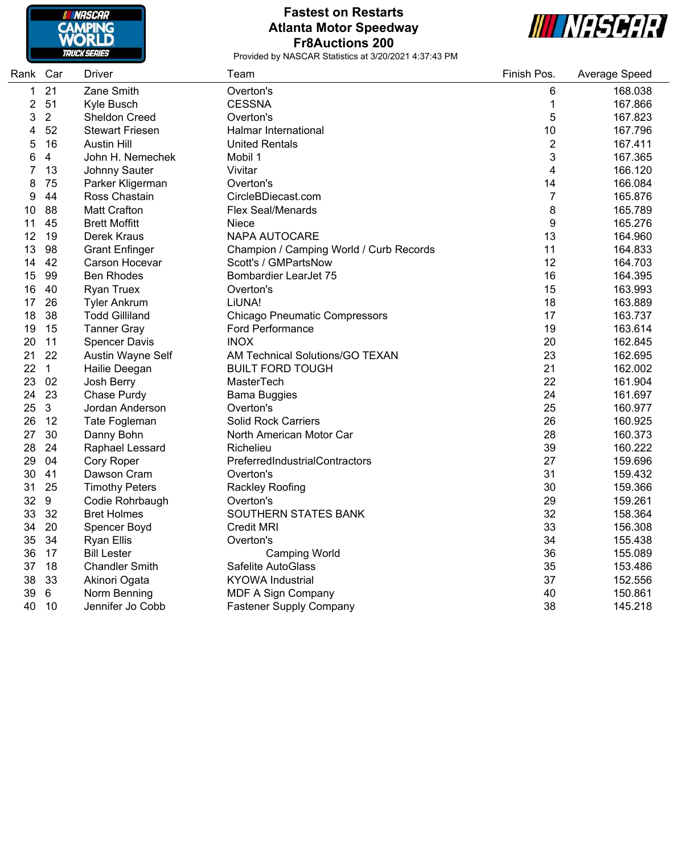

#### **Fastest on Restarts Atlanta Motor Speedway Fr8Auctions 200**



| Rank Car |                | Driver                 | Team                                    | Finish Pos.      | Average Speed |
|----------|----------------|------------------------|-----------------------------------------|------------------|---------------|
| 1        | 21             | Zane Smith             | Overton's                               | 6                | 168.038       |
| 2        | 51             | Kyle Busch             | <b>CESSNA</b>                           | $\mathbf 1$      | 167.866       |
| 3        | $\overline{2}$ | <b>Sheldon Creed</b>   | Overton's                               | 5                | 167.823       |
| 4        | 52             | <b>Stewart Friesen</b> | Halmar International                    | 10               | 167.796       |
| 5        | 16             | <b>Austin Hill</b>     | <b>United Rentals</b>                   | $\overline{c}$   | 167.411       |
| 6        | 4              | John H. Nemechek       | Mobil 1                                 | 3                | 167.365       |
| 7        | 13             | Johnny Sauter          | Vivitar                                 | 4                | 166.120       |
| 8        | 75             | Parker Kligerman       | Overton's                               | 14               | 166.084       |
| 9        | 44             | Ross Chastain          | CircleBDiecast.com                      | $\overline{7}$   | 165.876       |
| 10       | 88             | <b>Matt Crafton</b>    | <b>Flex Seal/Menards</b>                | 8                | 165.789       |
| 11       | 45             | <b>Brett Moffitt</b>   | Niece                                   | $\boldsymbol{9}$ | 165.276       |
| 12       | 19             | Derek Kraus            | <b>NAPA AUTOCARE</b>                    | 13               | 164.960       |
| 13       | 98             | <b>Grant Enfinger</b>  | Champion / Camping World / Curb Records | 11               | 164.833       |
| 14       | 42             | Carson Hocevar         | Scott's / GMPartsNow                    | 12               | 164.703       |
| 15       | 99             | <b>Ben Rhodes</b>      | <b>Bombardier LearJet 75</b>            | 16               | 164.395       |
| 16       | 40             | <b>Ryan Truex</b>      | Overton's                               | 15               | 163.993       |
| 17       | 26             | <b>Tyler Ankrum</b>    | LiUNA!                                  | 18               | 163.889       |
| 18       | 38             | <b>Todd Gilliland</b>  | <b>Chicago Pneumatic Compressors</b>    | 17               | 163.737       |
| 19       | 15             | <b>Tanner Gray</b>     | <b>Ford Performance</b>                 | 19               | 163.614       |
| 20       | 11             | <b>Spencer Davis</b>   | <b>INOX</b>                             | 20               | 162.845       |
| 21       | 22             | Austin Wayne Self      | AM Technical Solutions/GO TEXAN         | 23               | 162.695       |
| 22       | $\mathbf{1}$   | Hailie Deegan          | <b>BUILT FORD TOUGH</b>                 | 21               | 162.002       |
| 23       | 02             | Josh Berry             | MasterTech                              | 22               | 161.904       |
| 24       | 23             | Chase Purdy            | <b>Bama Buggies</b>                     | 24               | 161.697       |
| 25       | $\mathbf{3}$   | Jordan Anderson        | Overton's                               | 25               | 160.977       |
| 26       | 12             | Tate Fogleman          | <b>Solid Rock Carriers</b>              | 26               | 160.925       |
| 27       | 30             | Danny Bohn             | North American Motor Car                | 28               | 160.373       |
| 28       | 24             | Raphael Lessard        | Richelieu                               | 39               | 160.222       |
| 29       | 04             | Cory Roper             | PreferredIndustrialContractors          | 27               | 159.696       |
| 30       | 41             | Dawson Cram            | Overton's                               | 31               | 159.432       |
| 31       | 25             | <b>Timothy Peters</b>  | Rackley Roofing                         | 30               | 159.366       |
| 32       | 9              | Codie Rohrbaugh        | Overton's                               | 29               | 159.261       |
| 33       | 32             | <b>Bret Holmes</b>     | SOUTHERN STATES BANK                    | 32               | 158.364       |
| 34       | 20             | Spencer Boyd           | <b>Credit MRI</b>                       | 33               | 156.308       |
| 35       | 34             | <b>Ryan Ellis</b>      | Overton's                               | 34               | 155.438       |
| 36       | 17             | <b>Bill Lester</b>     | <b>Camping World</b>                    | 36               | 155.089       |
| 37       | 18             | <b>Chandler Smith</b>  | Safelite AutoGlass                      | 35               | 153.486       |
| 38       | 33             | Akinori Ogata          | <b>KYOWA</b> Industrial                 | 37               | 152.556       |
| 39       | 6              | Norm Benning           | MDF A Sign Company                      | 40               | 150.861       |
| 40       | 10             | Jennifer Jo Cobb       | <b>Fastener Supply Company</b>          | 38               | 145.218       |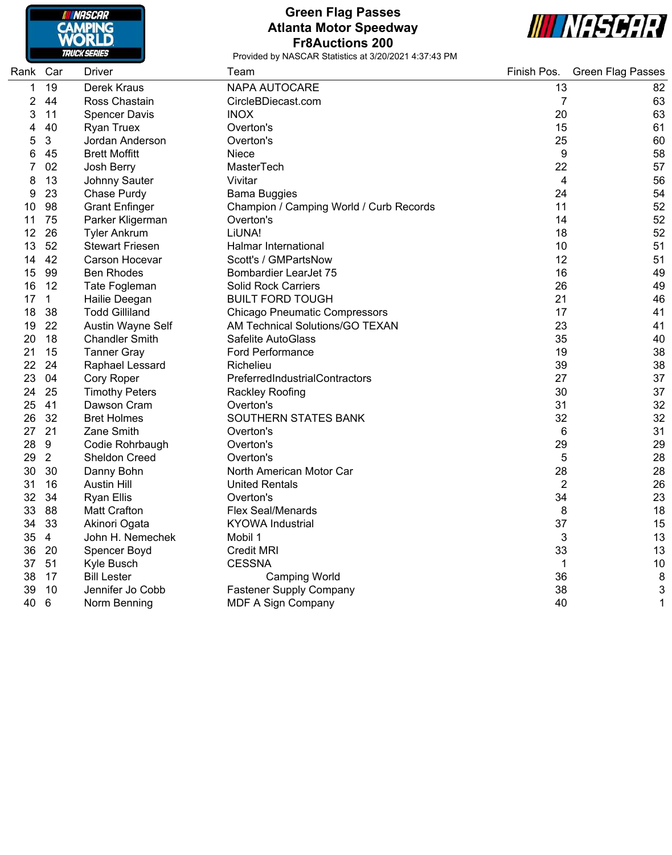

## **Green Flag Passes Atlanta Motor Speedway Fr8Auctions 200**



| Rank | Car             | Driver                 | Team                                    | Finish Pos.    | <b>Green Flag Passes</b> |
|------|-----------------|------------------------|-----------------------------------------|----------------|--------------------------|
| 1    | 19              | Derek Kraus            | <b>NAPA AUTOCARE</b>                    | 13             | 82                       |
| 2    | 44              | Ross Chastain          | CircleBDiecast.com                      | 7              | 63                       |
| 3    | 11              | <b>Spencer Davis</b>   | <b>INOX</b>                             | 20             | 63                       |
| 4    | 40              | <b>Ryan Truex</b>      | Overton's                               | 15             | 61                       |
| 5    | 3               | Jordan Anderson        | Overton's                               | 25             | 60                       |
| 6    | 45              | <b>Brett Moffitt</b>   | Niece                                   | 9              | 58                       |
| 7    | 02              | Josh Berry             | MasterTech                              | 22             | 57                       |
| 8    | 13              | Johnny Sauter          | Vivitar                                 | 4              | 56                       |
| 9    | 23              | Chase Purdy            | <b>Bama Buggies</b>                     | 24             | 54                       |
| 10   | 98              | <b>Grant Enfinger</b>  | Champion / Camping World / Curb Records | 11             | 52                       |
| 11   | 75              | Parker Kligerman       | Overton's                               | 14             | 52                       |
| 12   | 26              | <b>Tyler Ankrum</b>    | LiUNA!                                  | 18             | 52                       |
| 13   | 52              | <b>Stewart Friesen</b> | <b>Halmar International</b>             | 10             | 51                       |
| 14   | 42              | Carson Hocevar         | Scott's / GMPartsNow                    | 12             | 51                       |
| 15   | 99              | <b>Ben Rhodes</b>      | <b>Bombardier LearJet 75</b>            | 16             | 49                       |
| 16   | 12              | Tate Fogleman          | <b>Solid Rock Carriers</b>              | 26             | 49                       |
| 17   | $\mathbf{1}$    | Hailie Deegan          | <b>BUILT FORD TOUGH</b>                 | 21             | 46                       |
| 18   | 38              | <b>Todd Gilliland</b>  | <b>Chicago Pneumatic Compressors</b>    | 17             | 41                       |
| 19   | 22              | Austin Wayne Self      | AM Technical Solutions/GO TEXAN         | 23             | 41                       |
| 20   | 18              | <b>Chandler Smith</b>  | <b>Safelite AutoGlass</b>               | 35             | 40                       |
| 21   | 15              | <b>Tanner Gray</b>     | <b>Ford Performance</b>                 | 19             | 38                       |
| 22   | 24              | Raphael Lessard        | Richelieu                               | 39             | 38                       |
| 23   | 04              | Cory Roper             | PreferredIndustrialContractors          | 27             | 37                       |
| 24   | 25              | <b>Timothy Peters</b>  | Rackley Roofing                         | 30             | 37                       |
| 25   | 41              | Dawson Cram            | Overton's                               | 31             | 32                       |
| 26   | 32              | <b>Bret Holmes</b>     | SOUTHERN STATES BANK                    | 32             | 32                       |
| 27   | 21              | Zane Smith             | Overton's                               | 6              | 31                       |
| 28   | 9               | Codie Rohrbaugh        | Overton's                               | 29             | 29                       |
| 29   | $\overline{2}$  | <b>Sheldon Creed</b>   | Overton's                               | 5              | 28                       |
| 30   | 30              | Danny Bohn             | North American Motor Car                | 28             | 28                       |
| 31   | 16              | <b>Austin Hill</b>     | <b>United Rentals</b>                   | $\overline{2}$ | 26                       |
| 32   | 34              | <b>Ryan Ellis</b>      | Overton's                               | 34             | 23                       |
| 33   | 88              | <b>Matt Crafton</b>    | Flex Seal/Menards                       | 8              | 18                       |
| 34   | 33              | Akinori Ogata          | <b>KYOWA Industrial</b>                 | 37             | 15                       |
| 35   | $\overline{4}$  | John H. Nemechek       | Mobil 1                                 | 3              | 13                       |
| 36   | 20              | Spencer Boyd           | Credit MRI                              | 33             | 13                       |
| 37   | 51              | Kyle Busch             | <b>CESSNA</b>                           | 1              | 10                       |
| 38   | 17              | <b>Bill Lester</b>     | <b>Camping World</b>                    | 36             | 8                        |
| 39   | 10              | Jennifer Jo Cobb       | <b>Fastener Supply Company</b>          | 38             | 3                        |
| 40   | $6\phantom{1}6$ | Norm Benning           | MDF A Sign Company                      | 40             | $\mathbf{1}$             |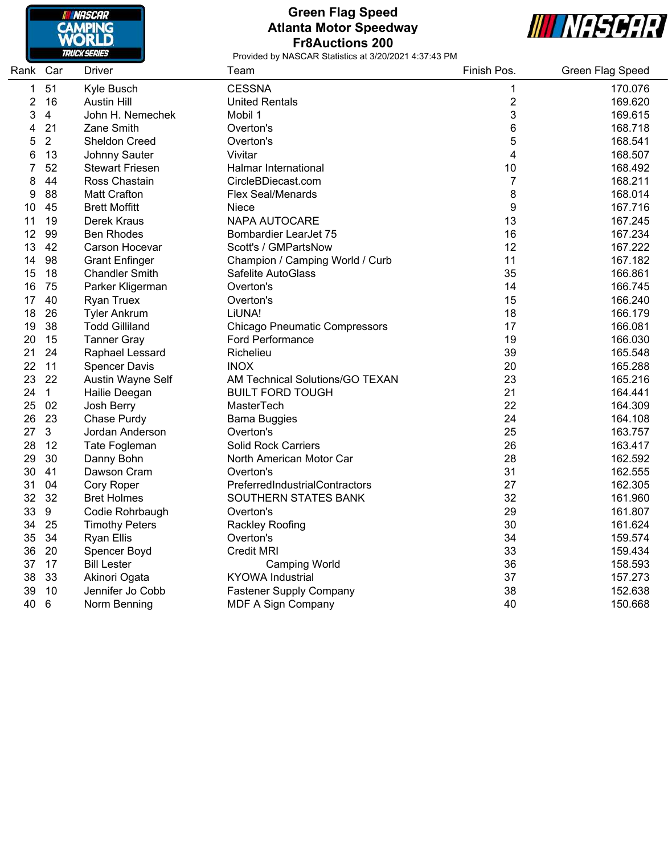

### **Green Flag Speed Atlanta Motor Speedway Fr8Auctions 200**



| Rank Car |                | <b>Driver</b>          | Team                                 | Finish Pos.             | Green Flag Speed |
|----------|----------------|------------------------|--------------------------------------|-------------------------|------------------|
| 1        | 51             | Kyle Busch             | <b>CESSNA</b>                        | 1                       | 170.076          |
| 2        | 16             | <b>Austin Hill</b>     | <b>United Rentals</b>                | $\overline{\mathbf{c}}$ | 169.620          |
| 3        | $\overline{4}$ | John H. Nemechek       | Mobil 1                              | 3                       | 169.615          |
| 4        | 21             | Zane Smith             | Overton's                            | 6                       | 168.718          |
| 5        | 2              | Sheldon Creed          | Overton's                            | 5                       | 168.541          |
| 6        | 13             | Johnny Sauter          | Vivitar                              | 4                       | 168.507          |
| 7        | 52             | <b>Stewart Friesen</b> | <b>Halmar International</b>          | 10                      | 168.492          |
| 8        | 44             | Ross Chastain          | CircleBDiecast.com                   | $\overline{7}$          | 168.211          |
| 9        | 88             | <b>Matt Crafton</b>    | <b>Flex Seal/Menards</b>             | 8                       | 168.014          |
| 10       | 45             | <b>Brett Moffitt</b>   | Niece                                | 9                       | 167.716          |
| 11       | 19             | <b>Derek Kraus</b>     | <b>NAPA AUTOCARE</b>                 | 13                      | 167.245          |
| 12       | 99             | <b>Ben Rhodes</b>      | <b>Bombardier LearJet 75</b>         | 16                      | 167.234          |
| 13       | 42             | Carson Hocevar         | Scott's / GMPartsNow                 | 12                      | 167.222          |
| 14       | 98             | <b>Grant Enfinger</b>  | Champion / Camping World / Curb      | 11                      | 167.182          |
| 15       | 18             | <b>Chandler Smith</b>  | Safelite AutoGlass                   | 35                      | 166.861          |
| 16       | 75             | Parker Kligerman       | Overton's                            | 14                      | 166.745          |
| 17       | 40             | <b>Ryan Truex</b>      | Overton's                            | 15                      | 166.240          |
| 18       | 26             | <b>Tyler Ankrum</b>    | LiUNA!                               | 18                      | 166.179          |
| 19       | 38             | <b>Todd Gilliland</b>  | <b>Chicago Pneumatic Compressors</b> | 17                      | 166.081          |
| 20       | 15             | <b>Tanner Gray</b>     | <b>Ford Performance</b>              | 19                      | 166.030          |
| 21       | 24             | Raphael Lessard        | Richelieu                            | 39                      | 165.548          |
| 22       | 11             | <b>Spencer Davis</b>   | <b>INOX</b>                          | 20                      | 165.288          |
| 23       | 22             | Austin Wayne Self      | AM Technical Solutions/GO TEXAN      | 23                      | 165.216          |
| 24       | $\overline{1}$ | Hailie Deegan          | <b>BUILT FORD TOUGH</b>              | 21                      | 164.441          |
| 25       | 02             | Josh Berry             | MasterTech                           | 22                      | 164.309          |
| 26       | 23             | Chase Purdy            | <b>Bama Buggies</b>                  | 24                      | 164.108          |
| 27       | 3              | Jordan Anderson        | Overton's                            | 25                      | 163.757          |
| 28       | 12             | Tate Fogleman          | <b>Solid Rock Carriers</b>           | 26                      | 163.417          |
| 29       | 30             | Danny Bohn             | North American Motor Car             | 28                      | 162.592          |
| 30       | 41             | Dawson Cram            | Overton's                            | 31                      | 162.555          |
| 31       | 04             | Cory Roper             | PreferredIndustrialContractors       | 27                      | 162.305          |
| 32       | 32             | <b>Bret Holmes</b>     | SOUTHERN STATES BANK                 | 32                      | 161.960          |
| 33       | 9              | Codie Rohrbaugh        | Overton's                            | 29                      | 161.807          |
| 34       | 25             | <b>Timothy Peters</b>  | Rackley Roofing                      | 30                      | 161.624          |
| 35       | 34             | <b>Ryan Ellis</b>      | Overton's                            | 34                      | 159.574          |
| 36       | 20             | Spencer Boyd           | <b>Credit MRI</b>                    | 33                      | 159.434          |
| 37       | 17             | <b>Bill Lester</b>     | <b>Camping World</b>                 | 36                      | 158.593          |
| 38       | 33             | Akinori Ogata          | <b>KYOWA Industrial</b>              | 37                      | 157.273          |
| 39       | 10             | Jennifer Jo Cobb       | <b>Fastener Supply Company</b>       | 38                      | 152.638          |
| 40       | 6              | Norm Benning           | MDF A Sign Company                   | 40                      | 150.668          |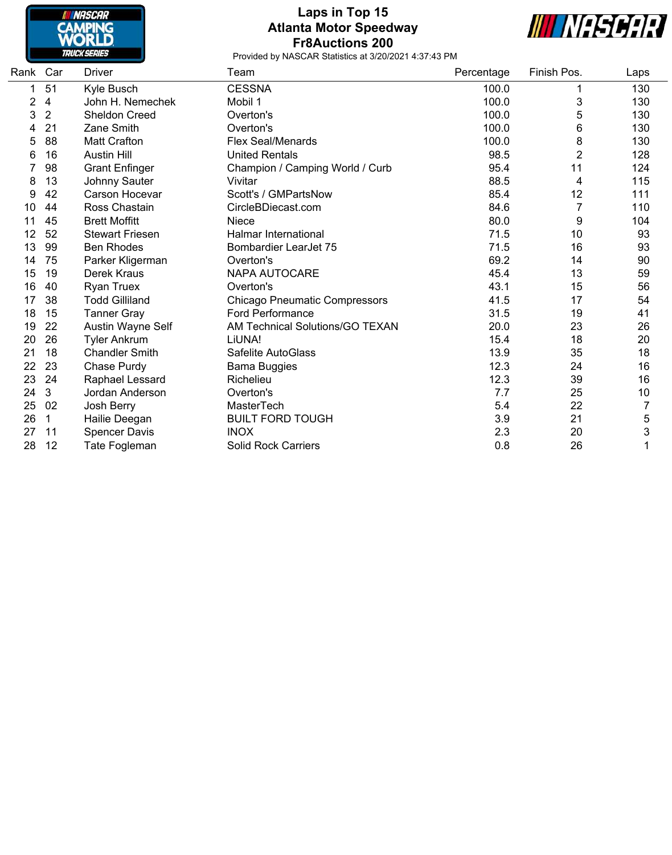

## **Laps in Top 15 Atlanta Motor Speedway Fr8Auctions 200**



| Rank | Car            | <b>Driver</b>          | Team                                 | Percentage | Finish Pos.    | Laps           |
|------|----------------|------------------------|--------------------------------------|------------|----------------|----------------|
| 1    | 51             | Kyle Busch             | <b>CESSNA</b>                        | 100.0      |                | 130            |
| 2    | 4              | John H. Nemechek       | Mobil 1                              | 100.0      | 3              | 130            |
| 3    | $\overline{2}$ | Sheldon Creed          | Overton's                            | 100.0      | 5              | 130            |
| 4    | 21             | Zane Smith             | Overton's                            | 100.0      | 6              | 130            |
| 5    | 88             | <b>Matt Crafton</b>    | <b>Flex Seal/Menards</b>             | 100.0      | 8              | 130            |
| 6    | 16             | <b>Austin Hill</b>     | <b>United Rentals</b>                | 98.5       | $\overline{2}$ | 128            |
|      | 98             | <b>Grant Enfinger</b>  | Champion / Camping World / Curb      | 95.4       | 11             | 124            |
| 8    | 13             | Johnny Sauter          | Vivitar                              | 88.5       | 4              | 115            |
| 9    | 42             | Carson Hocevar         | Scott's / GMPartsNow                 | 85.4       | 12             | 111            |
| 10   | 44             | Ross Chastain          | CircleBDiecast.com                   | 84.6       | 7              | 110            |
| 11   | 45             | <b>Brett Moffitt</b>   | Niece                                | 80.0       | 9              | 104            |
| 12   | 52             | <b>Stewart Friesen</b> | <b>Halmar International</b>          | 71.5       | 10             | 93             |
| 13   | 99             | <b>Ben Rhodes</b>      | Bombardier LearJet 75                | 71.5       | 16             | 93             |
| 14   | 75             | Parker Kligerman       | Overton's                            | 69.2       | 14             | 90             |
| 15   | 19             | Derek Kraus            | <b>NAPA AUTOCARE</b>                 | 45.4       | 13             | 59             |
| 16   | 40             | <b>Ryan Truex</b>      | Overton's                            | 43.1       | 15             | 56             |
| 17   | 38             | <b>Todd Gilliland</b>  | <b>Chicago Pneumatic Compressors</b> | 41.5       | 17             | 54             |
| 18   | 15             | <b>Tanner Gray</b>     | <b>Ford Performance</b>              | 31.5       | 19             | 41             |
| 19   | 22             | Austin Wayne Self      | AM Technical Solutions/GO TEXAN      | 20.0       | 23             | 26             |
| 20   | 26             | <b>Tyler Ankrum</b>    | LiUNA!                               | 15.4       | 18             | 20             |
| 21   | 18             | <b>Chandler Smith</b>  | Safelite AutoGlass                   | 13.9       | 35             | 18             |
| 22   | 23             | Chase Purdy            | <b>Bama Buggies</b>                  | 12.3       | 24             | 16             |
| 23   | 24             | Raphael Lessard        | Richelieu                            | 12.3       | 39             | 16             |
| 24   | 3              | Jordan Anderson        | Overton's                            | 7.7        | 25             | 10             |
| 25   | 02             | Josh Berry             | MasterTech                           | 5.4        | 22             | $\overline{7}$ |
| 26   | -1             | Hailie Deegan          | <b>BUILT FORD TOUGH</b>              | 3.9        | 21             | 5              |
| 27   | 11             | <b>Spencer Davis</b>   | <b>INOX</b>                          | 2.3        | 20             | 3              |
| 28   | 12             | Tate Fogleman          | <b>Solid Rock Carriers</b>           | 0.8        | 26             | 1              |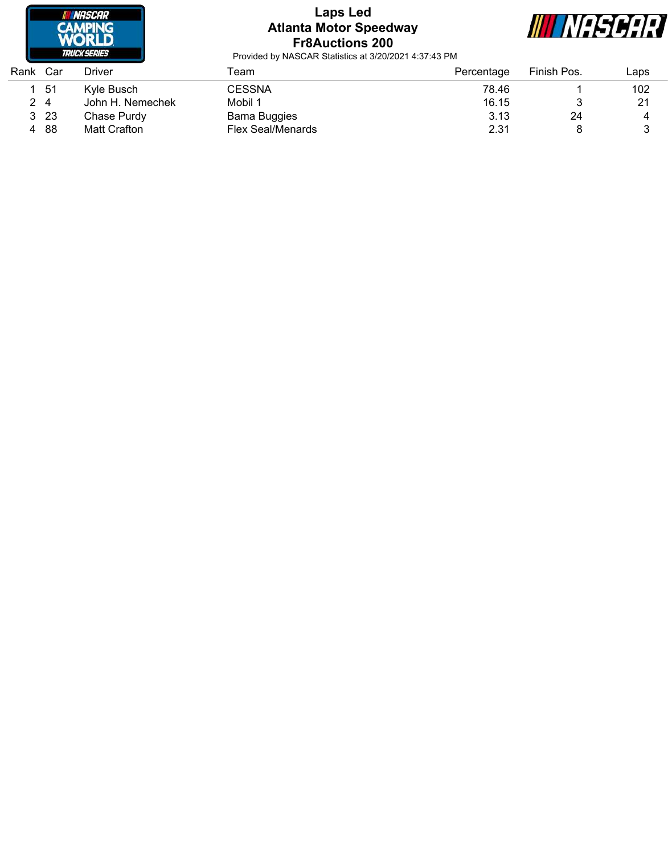

## **Laps Led Atlanta Motor Speedway Fr8Auctions 200**



| Rank | Car  | Driver           | Team                     | Percentage | Finish Pos. | ∟aps |
|------|------|------------------|--------------------------|------------|-------------|------|
|      | - 51 | Kvle Busch       | <b>CESSNA</b>            | 78.46      |             | 102  |
| 2 4  |      | John H. Nemechek | Mobil 1                  | 16.15      |             | 21   |
| 3.   | -23  | Chase Purdv      | <b>Bama Buggies</b>      | 3.13       | 24          |      |
| 4    | 88   | Matt Crafton     | <b>Flex Seal/Menards</b> | 2.31       |             |      |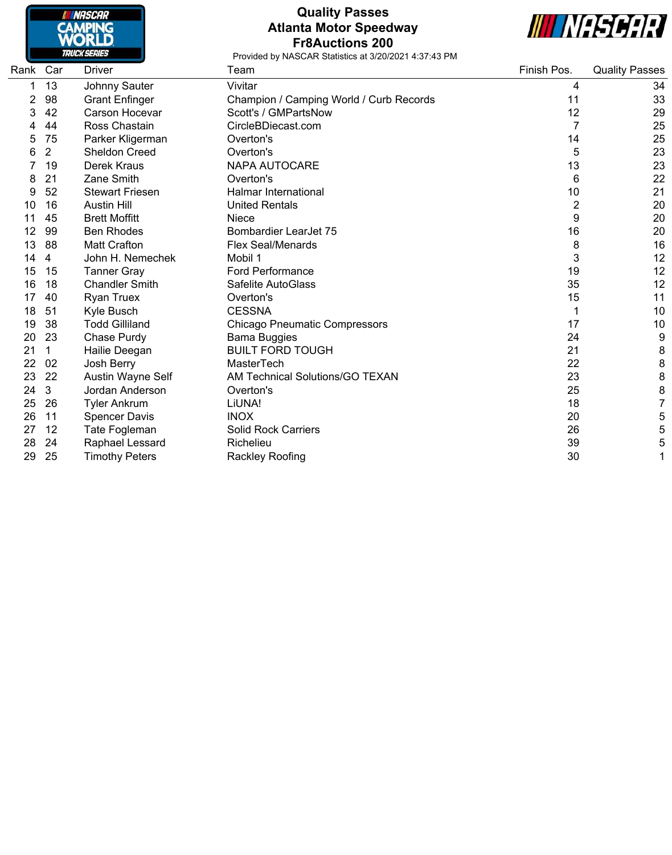

## **Quality Passes Atlanta Motor Speedway Fr8Auctions 200**



| Rank | Car | <b>Driver</b>          | Team                                    | Finish Pos.    | <b>Quality Passes</b> |
|------|-----|------------------------|-----------------------------------------|----------------|-----------------------|
|      | 13  | Johnny Sauter          | Vivitar                                 | 4              | 34                    |
| 2    | 98  | <b>Grant Enfinger</b>  | Champion / Camping World / Curb Records | 11             | 33                    |
| 3    | 42  | Carson Hocevar         | Scott's / GMPartsNow                    | 12             | 29                    |
|      | 44  | Ross Chastain          | CircleBDiecast.com                      | 7              | 25                    |
| 5    | 75  | Parker Kligerman       | Overton's                               | 14             | 25                    |
| 6    | 2   | <b>Sheldon Creed</b>   | Overton's                               | 5              | 23                    |
|      | 19  | <b>Derek Kraus</b>     | <b>NAPA AUTOCARE</b>                    | 13             | 23                    |
| 8    | 21  | Zane Smith             | Overton's                               | 6              | 22                    |
| 9    | 52  | <b>Stewart Friesen</b> | Halmar International                    | 10             | 21                    |
| 10   | 16  | <b>Austin Hill</b>     | <b>United Rentals</b>                   | $\overline{2}$ | 20                    |
| 11   | 45  | <b>Brett Moffitt</b>   | Niece                                   | 9              | 20                    |
| 12   | 99  | <b>Ben Rhodes</b>      | <b>Bombardier LearJet 75</b>            | 16             | 20                    |
| 13   | 88  | <b>Matt Crafton</b>    | <b>Flex Seal/Menards</b>                | 8              | 16                    |
| 14   | 4   | John H. Nemechek       | Mobil 1                                 | 3              | 12                    |
| 15   | 15  | <b>Tanner Gray</b>     | <b>Ford Performance</b>                 | 19             | 12                    |
| 16   | 18  | <b>Chandler Smith</b>  | Safelite AutoGlass                      | 35             | 12                    |
| 17   | 40  | <b>Ryan Truex</b>      | Overton's                               | 15             | 11                    |
| 18   | 51  | Kyle Busch             | <b>CESSNA</b>                           |                | 10                    |
| 19   | 38  | <b>Todd Gilliland</b>  | <b>Chicago Pneumatic Compressors</b>    | 17             | 10                    |
| 20   | 23  | Chase Purdy            | <b>Bama Buggies</b>                     | 24             | 9                     |
| 21   | 1   | Hailie Deegan          | <b>BUILT FORD TOUGH</b>                 | 21             | 8                     |
| 22   | 02  | Josh Berry             | MasterTech                              | 22             | $\bf 8$               |
| 23   | 22  | Austin Wayne Self      | AM Technical Solutions/GO TEXAN         | 23             | 8                     |
| 24   | 3   | Jordan Anderson        | Overton's                               | 25             | 8                     |
| 25   | 26  | <b>Tyler Ankrum</b>    | LiUNA!                                  | 18             | $\overline{7}$        |
| 26   | 11  | <b>Spencer Davis</b>   | <b>INOX</b>                             | 20             | 5                     |
| 27   | 12  | Tate Fogleman          | <b>Solid Rock Carriers</b>              | 26             | 5                     |
| 28   | 24  | Raphael Lessard        | Richelieu                               | 39             | 5                     |
| 29   | 25  | <b>Timothy Peters</b>  | Rackley Roofing                         | 30             | 1                     |